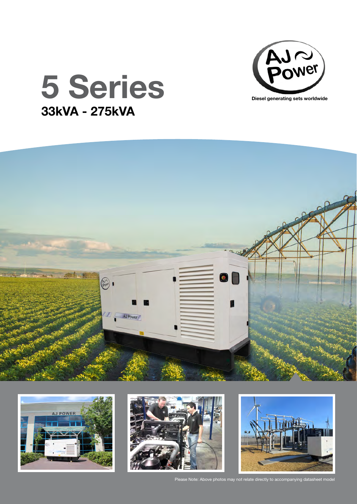

## 5 Series 33kVA - 275kVA









Please Note: Above photos may not relate directly to accompanying datasheet model